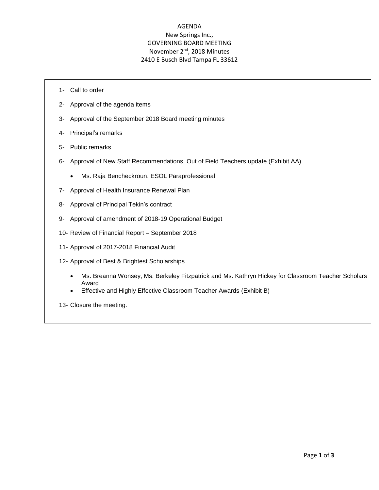# AGENDA New Springs Inc., GOVERNING BOARD MEETING November 2nd, 2018 Minutes 2410 E Busch Blvd Tampa FL 33612

- 1- Call to order
- 2- Approval of the agenda items
- 3- Approval of the September 2018 Board meeting minutes
- 4- Principal's remarks
- 5- Public remarks
- 6- Approval of New Staff Recommendations, Out of Field Teachers update (Exhibit AA)
	- Ms. Raja Bencheckroun, ESOL Paraprofessional
- 7- Approval of Health Insurance Renewal Plan
- 8- Approval of Principal Tekin's contract
- 9- Approval of amendment of 2018-19 Operational Budget
- 10- Review of Financial Report September 2018
- 11- Approval of 2017-2018 Financial Audit
- 12- Approval of Best & Brightest Scholarships
	- Ms. Breanna Wonsey, Ms. Berkeley Fitzpatrick and Ms. Kathryn Hickey for Classroom Teacher Scholars Award
	- Effective and Highly Effective Classroom Teacher Awards (Exhibit B)
- 13- Closure the meeting.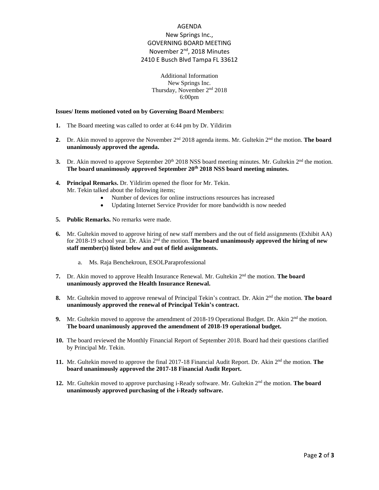# AGENDA New Springs Inc., GOVERNING BOARD MEETING November 2<sup>nd</sup>, 2018 Minutes 2410 E Busch Blvd Tampa FL 33612

### Additional Information New Springs Inc. Thursday, November 2<sup>nd</sup> 2018 6:00pm

#### **Issues/ Items motioned voted on by Governing Board Members:**

- **1.** The Board meeting was called to order at 6:44 pm by Dr. Yildirim
- **2.** Dr. Akin moved to approve the November 2<sup>nd</sup> 2018 agenda items. Mr. Gultekin 2<sup>nd</sup> the motion. **The board unanimously approved the agenda.**
- **3.** Dr. Akin moved to approve September  $20^{\text{th}}$  2018 NSS board meeting minutes. Mr. Gultekin  $2^{\text{nd}}$  the motion. **The board unanimously approved September 20th 2018 NSS board meeting minutes.**
- **4. Principal Remarks.** Dr. Yildirim opened the floor for Mr. Tekin. Mr. Tekin talked about the following items;
	- Number of devices for online instructions resources has increased
	- Updating Internet Service Provider for more bandwidth is now needed
- **5. Public Remarks.** No remarks were made.
- **6.** Mr. Gultekin moved to approve hiring of new staff members and the out of field assignments (Exhibit AA) for 2018-19 school year. Dr. Akin 2<sup>nd</sup> the motion. **The board unanimously approved the hiring of new staff member(s) listed below and out of field assignments.**
	- a. Ms. Raja Benchekroun, ESOLParaprofessional
- 7. Dr. Akin moved to approve Health Insurance Renewal. Mr. Gultekin 2<sup>nd</sup> the motion. **The board unanimously approved the Health Insurance Renewal.**
- **8.** Mr. Gultekin moved to approve renewal of Principal Tekin's contract. Dr. Akin 2<sup>nd</sup> the motion. **The board unanimously approved the renewal of Principal Tekin's contract.**
- **9.** Mr. Gultekin moved to approve the amendment of 2018-19 Operational Budget. Dr. Akin 2<sup>nd</sup> the motion. **The board unanimously approved the amendment of 2018-19 operational budget.**
- **10.** The board reviewed the Monthly Financial Report of September 2018. Board had their questions clarified by Principal Mr. Tekin.
- 11. Mr. Gultekin moved to approve the final 2017-18 Financial Audit Report. Dr. Akin 2<sup>nd</sup> the motion. The **board unanimously approved the 2017-18 Financial Audit Report.**
- **12.** Mr. Gultekin moved to approve purchasing i-Ready software. Mr. Gultekin 2nd the motion. **The board unanimously approved purchasing of the i-Ready software.**